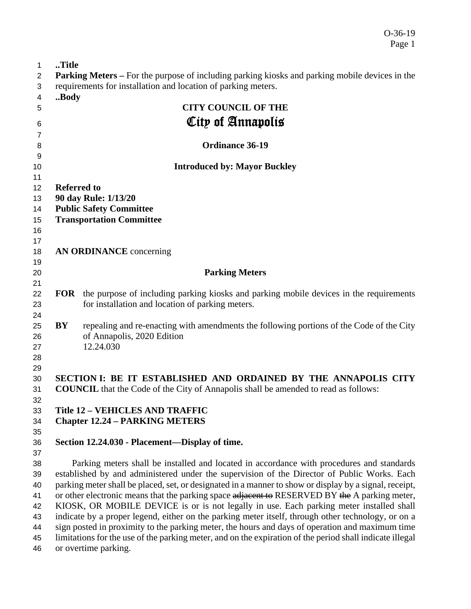| 0-36-19 |  |
|---------|--|
| Page 1  |  |

| $\mathbf{1}$   | Title                                                                                                                                                                                                   |                                                                                                                                                       |  |
|----------------|---------------------------------------------------------------------------------------------------------------------------------------------------------------------------------------------------------|-------------------------------------------------------------------------------------------------------------------------------------------------------|--|
| $\overline{2}$ |                                                                                                                                                                                                         | <b>Parking Meters</b> – For the purpose of including parking kiosks and parking mobile devices in the                                                 |  |
| 3              |                                                                                                                                                                                                         | requirements for installation and location of parking meters.                                                                                         |  |
| 4              | Body                                                                                                                                                                                                    |                                                                                                                                                       |  |
| 5              |                                                                                                                                                                                                         | <b>CITY COUNCIL OF THE</b>                                                                                                                            |  |
| 6              |                                                                                                                                                                                                         | City of Annapolis                                                                                                                                     |  |
| $\overline{7}$ |                                                                                                                                                                                                         |                                                                                                                                                       |  |
| 8              |                                                                                                                                                                                                         | <b>Ordinance 36-19</b>                                                                                                                                |  |
| 9              |                                                                                                                                                                                                         |                                                                                                                                                       |  |
| 10             |                                                                                                                                                                                                         | <b>Introduced by: Mayor Buckley</b>                                                                                                                   |  |
| 11             |                                                                                                                                                                                                         |                                                                                                                                                       |  |
| 12             | <b>Referred to</b>                                                                                                                                                                                      |                                                                                                                                                       |  |
| 13             |                                                                                                                                                                                                         | 90 day Rule: 1/13/20                                                                                                                                  |  |
| 14             |                                                                                                                                                                                                         | <b>Public Safety Committee</b>                                                                                                                        |  |
| 15             |                                                                                                                                                                                                         | <b>Transportation Committee</b>                                                                                                                       |  |
| 16             |                                                                                                                                                                                                         |                                                                                                                                                       |  |
| 17             |                                                                                                                                                                                                         |                                                                                                                                                       |  |
| 18             |                                                                                                                                                                                                         | <b>AN ORDINANCE</b> concerning                                                                                                                        |  |
| 19             |                                                                                                                                                                                                         |                                                                                                                                                       |  |
| 20             |                                                                                                                                                                                                         | <b>Parking Meters</b>                                                                                                                                 |  |
| 21             |                                                                                                                                                                                                         |                                                                                                                                                       |  |
| 22             |                                                                                                                                                                                                         | <b>FOR</b> the purpose of including parking kiosks and parking mobile devices in the requirements<br>for installation and location of parking meters. |  |
| 23<br>24       |                                                                                                                                                                                                         |                                                                                                                                                       |  |
| 25             | BY                                                                                                                                                                                                      | repealing and re-enacting with amendments the following portions of the Code of the City                                                              |  |
| 26             |                                                                                                                                                                                                         | of Annapolis, 2020 Edition                                                                                                                            |  |
| 27             |                                                                                                                                                                                                         | 12.24.030                                                                                                                                             |  |
| 28             |                                                                                                                                                                                                         |                                                                                                                                                       |  |
| 29             |                                                                                                                                                                                                         |                                                                                                                                                       |  |
| 30             |                                                                                                                                                                                                         | SECTION I: BE IT ESTABLISHED AND ORDAINED BY THE ANNAPOLIS CITY                                                                                       |  |
| 31             |                                                                                                                                                                                                         | <b>COUNCIL</b> that the Code of the City of Annapolis shall be amended to read as follows:                                                            |  |
| 32             |                                                                                                                                                                                                         |                                                                                                                                                       |  |
| 33             |                                                                                                                                                                                                         | <b>Title 12 - VEHICLES AND TRAFFIC</b>                                                                                                                |  |
| 34             |                                                                                                                                                                                                         | <b>Chapter 12.24 - PARKING METERS</b>                                                                                                                 |  |
| 35             |                                                                                                                                                                                                         |                                                                                                                                                       |  |
| 36             |                                                                                                                                                                                                         | Section 12.24.030 - Placement—Display of time.                                                                                                        |  |
| 37             |                                                                                                                                                                                                         |                                                                                                                                                       |  |
| 38             |                                                                                                                                                                                                         | Parking meters shall be installed and located in accordance with procedures and standards                                                             |  |
| 39<br>40       | established by and administered under the supervision of the Director of Public Works. Each                                                                                                             |                                                                                                                                                       |  |
| 41             | parking meter shall be placed, set, or designated in a manner to show or display by a signal, receipt,<br>or other electronic means that the parking space adjacent to RESERVED BY the A parking meter, |                                                                                                                                                       |  |
| 42             | KIOSK, OR MOBILE DEVICE is or is not legally in use. Each parking meter installed shall                                                                                                                 |                                                                                                                                                       |  |
| 43             |                                                                                                                                                                                                         | indicate by a proper legend, either on the parking meter itself, through other technology, or on a                                                    |  |
| 44             |                                                                                                                                                                                                         | sign posted in proximity to the parking meter, the hours and days of operation and maximum time                                                       |  |
| 45             |                                                                                                                                                                                                         | limitations for the use of the parking meter, and on the expiration of the period shall indicate illegal                                              |  |
|                |                                                                                                                                                                                                         |                                                                                                                                                       |  |

or overtime parking.